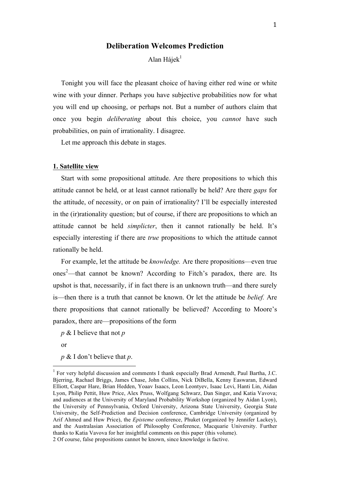# **Deliberation Welcomes Prediction**

Alan Háje $k<sup>1</sup>$ 

Tonight you will face the pleasant choice of having either red wine or white wine with your dinner. Perhaps you have subjective probabilities now for what you will end up choosing, or perhaps not. But a number of authors claim that once you begin *deliberating* about this choice, you *cannot* have such probabilities, on pain of irrationality. I disagree.

Let me approach this debate in stages.

#### **1. Satellite view**

Start with some propositional attitude. Are there propositions to which this attitude cannot be held, or at least cannot rationally be held? Are there *gaps* for the attitude, of necessity, or on pain of irrationality? I'll be especially interested in the (ir)rationality question; but of course, if there are propositions to which an attitude cannot be held *simplicter*, then it cannot rationally be held. It's especially interesting if there are *true* propositions to which the attitude cannot rationally be held.

For example, let the attitude be *knowledge.* Are there propositions—even true ones<sup>2</sup>—that cannot be known? According to Fitch's paradox, there are. Its upshot is that, necessarily, if in fact there is an unknown truth—and there surely is—then there is a truth that cannot be known. Or let the attitude be *belief.* Are there propositions that cannot rationally be believed? According to Moore's paradox, there are—propositions of the form

*p* & I believe that not *p*

or

*p* & I don't believe that *p*. 

<sup>&</sup>lt;sup>1</sup> For very helpful discussion and comments I thank especially Brad Armendt, Paul Bartha, J.C. Bjerring, Rachael Briggs, James Chase, John Collins, Nick DiBella, Kenny Easwaran, Edward Elliott, Caspar Hare, Brian Hedden, Yoaav Isaacs, Leon Leontyev, Isaac Levi, Hanti Lin, Aidan Lyon, Philip Pettit, Huw Price, Alex Pruss, Wolfgang Schwarz, Dan Singer, and Katia Vavova; and audiences at the University of Maryland Probability Workshop (organized by Aidan Lyon), the University of Pennsylvania, Oxford University, Arizona State University, Georgia State University, the Self-Prediction and Decision conference, Cambridge University (organized by Arif Ahmed and Huw Price), the *Episteme* conference, Phuket (organized by Jennifer Lackey), and the Australasian Association of Philosophy Conference, Macquarie University. Further thanks to Katia Vavova for her insightful comments on this paper (this volume). 2 Of course, false propositions cannot be known, since knowledge is factive.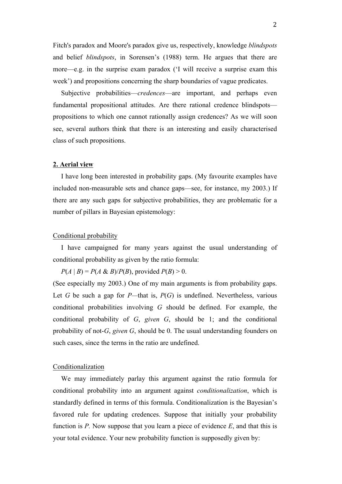Fitch's paradox and Moore's paradox give us, respectively, knowledge *blindspots* and belief *blindspots*, in Sorensen's (1988) term. He argues that there are more—e.g. in the surprise exam paradox ('I will receive a surprise exam this week') and propositions concerning the sharp boundaries of vague predicates.

Subjective probabilities—*credences*—are important, and perhaps even fundamental propositional attitudes. Are there rational credence blindspots propositions to which one cannot rationally assign credences? As we will soon see, several authors think that there is an interesting and easily characterised class of such propositions.

#### **2. Aerial view**

I have long been interested in probability gaps. (My favourite examples have included non-measurable sets and chance gaps—see, for instance, my 2003.) If there are any such gaps for subjective probabilities, they are problematic for a number of pillars in Bayesian epistemology:

## Conditional probability

I have campaigned for many years against the usual understanding of conditional probability as given by the ratio formula:

## $P(A | B) = P(A \& B)/P(B)$ , provided  $P(B) > 0$ .

(See especially my 2003.) One of my main arguments is from probability gaps. Let *G* be such a gap for *P—*that is, *P*(*G*) is undefined. Nevertheless, various conditional probabilities involving *G* should be defined. For example, the conditional probability of *G*, *given G*, should be 1; and the conditional probability of not-*G*, *given G*, should be 0. The usual understanding founders on such cases, since the terms in the ratio are undefined.

#### Conditionalization

We may immediately parlay this argument against the ratio formula for conditional probability into an argument against *conditionalization*, which is standardly defined in terms of this formula. Conditionalization is the Bayesian's favored rule for updating credences. Suppose that initially your probability function is *P.* Now suppose that you learn a piece of evidence *E*, and that this is your total evidence. Your new probability function is supposedly given by: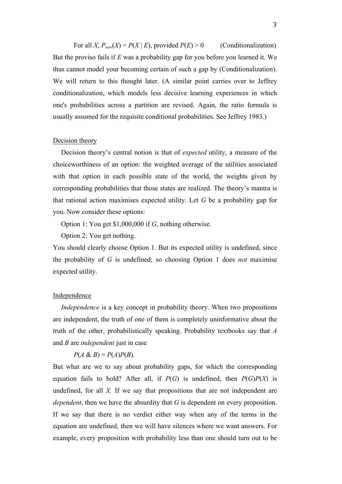For all *X*,  $P_{\text{new}}(X) = P(X | E)$ , provided  $P(E) > 0$  (Conditionalization) But the proviso fails if *E* was a probability gap for you before you learned it. We thus cannot model your becoming certain of such a gap by (Conditionalization). We will return to this thought later. (A similar point carries over to Jeffrey conditionalization, which models less decisive learning experiences in which one's probabilities across a partition are revised. Again, the ratio formula is usually assumed for the requisite conditional probabilities. See Jeffrey 1983.)

## Decision theory

Decision theory's central notion is that of *expected* utility, a measure of the choiceworthiness of an option: the weighted average of the utilities associated with that option in each possible state of the world, the weights given by corresponding probabilities that those states are realized. The theory's mantra is that rational action maximises expected utility. Let *G* be a probability gap for you. Now consider these options:

Option 1: You get \$1,000,000 if *G*, nothing otherwise.

Option 2: You get nothing.

You should clearly choose Option 1. But its expected utility is undefined, since the probability of *G* is undefined; so choosing Option 1 does *not* maximise expected utility.

#### Independence

*Independence* is a key concept in probability theory. When two propositions are independent, the truth of one of them is completely uninformative about the truth of the other, probabilistically speaking. Probability textbooks say that *A* and *B* are *independent* just in case

 $P(A \& B) = P(A)P(B).$ 

But what are we to say about probability gaps, for which the corresponding equation fails to hold? After all, if  $P(G)$  is undefined, then  $P(G)P(X)$  is undefined, for all *X.* If we say that propositions that are not independent are *dependent*, then we have the absurdity that *G* is dependent on every proposition. If we say that there is no verdict either way when any of the terms in the equation are undefined, then we will have silences where we want answers. For example, every proposition with probability less than one should turn out to be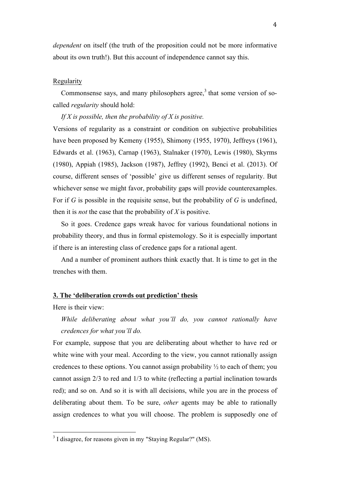*dependent* on itself (the truth of the proposition could not be more informative about its own truth!). But this account of independence cannot say this.

#### Regularity

Commonsense says, and many philosophers agree, $3$  that some version of socalled *regularity* should hold:

*If X is possible, then the probability of X is positive.*

Versions of regularity as a constraint or condition on subjective probabilities have been proposed by Kemeny (1955), Shimony (1955, 1970), Jeffreys (1961), Edwards et al. (1963), Carnap (1963), Stalnaker (1970), Lewis (1980), Skyrms (1980), Appiah (1985), Jackson (1987), Jeffrey (1992), Benci et al. (2013). Of course, different senses of 'possible' give us different senses of regularity. But whichever sense we might favor, probability gaps will provide counterexamples. For if *G* is possible in the requisite sense, but the probability of *G* is undefined, then it is *not* the case that the probability of *X* is positive.

So it goes. Credence gaps wreak havoc for various foundational notions in probability theory, and thus in formal epistemology. So it is especially important if there is an interesting class of credence gaps for a rational agent.

And a number of prominent authors think exactly that. It is time to get in the trenches with them.

## **3. The 'deliberation crowds out prediction' thesis**

Here is their view:

*While deliberating about what you'll do, you cannot rationally have credences for what you'll do.*

For example, suppose that you are deliberating about whether to have red or white wine with your meal. According to the view, you cannot rationally assign credences to these options. You cannot assign probability ½ to each of them; you cannot assign 2/3 to red and 1/3 to white (reflecting a partial inclination towards red); and so on. And so it is with all decisions, while you are in the process of deliberating about them. To be sure, *other* agents may be able to rationally assign credences to what you will choose. The problem is supposedly one of

<sup>&</sup>lt;sup>3</sup> I disagree, for reasons given in my "Staying Regular?" (MS).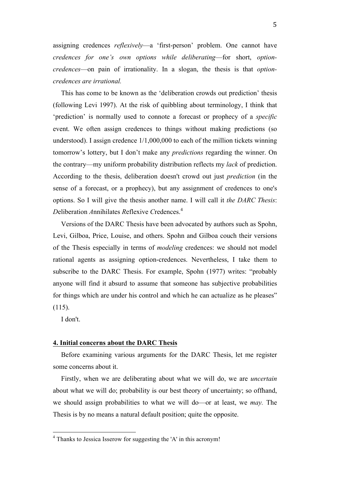assigning credences *reflexively*—a 'first-person' problem. One cannot have *credences for one's own options while deliberating*—for short, *optioncredences*—on pain of irrationality. In a slogan, the thesis is that *optioncredences are irrational.*

This has come to be known as the 'deliberation crowds out prediction' thesis (following Levi 1997). At the risk of quibbling about terminology, I think that 'prediction' is normally used to connote a forecast or prophecy of a *specific* event. We often assign credences to things without making predictions (so understood). I assign credence 1/1,000,000 to each of the million tickets winning tomorrow's lottery, but I don't make any *predictions* regarding the winner. On the contrary—my uniform probability distribution reflects my *lack* of prediction. According to the thesis, deliberation doesn't crowd out just *prediction* (in the sense of a forecast, or a prophecy), but any assignment of credences to one's options. So I will give the thesis another name. I will call it *the DARC Thesis*: *D*eliberation *A*nnihilates *Reflexive Credences*.<sup>4</sup>

Versions of the DARC Thesis have been advocated by authors such as Spohn, Levi, Gilboa, Price, Louise, and others. Spohn and Gilboa couch their versions of the Thesis especially in terms of *modeling* credences: we should not model rational agents as assigning option-credences. Nevertheless, I take them to subscribe to the DARC Thesis. For example, Spohn (1977) writes: "probably anyone will find it absurd to assume that someone has subjective probabilities for things which are under his control and which he can actualize as he pleases" (115).

I don't.

#### **4. Initial concerns about the DARC Thesis**

 

Before examining various arguments for the DARC Thesis, let me register some concerns about it.

Firstly, when we are deliberating about what we will do, we are *uncertain* about what we will do; probability is our best theory of uncertainty; so offhand, we should assign probabilities to what we will do—or at least, we *may.* The Thesis is by no means a natural default position; quite the opposite.

<sup>4</sup> Thanks to Jessica Isserow for suggesting the 'A' in this acronym!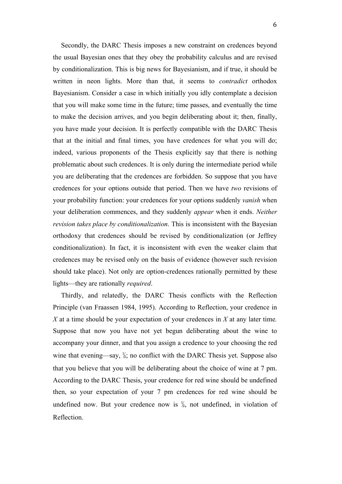Secondly, the DARC Thesis imposes a new constraint on credences beyond the usual Bayesian ones that they obey the probability calculus and are revised by conditionalization. This is big news for Bayesianism, and if true, it should be written in neon lights. More than that, it seems to *contradict* orthodox Bayesianism. Consider a case in which initially you idly contemplate a decision that you will make some time in the future; time passes, and eventually the time to make the decision arrives, and you begin deliberating about it; then, finally, you have made your decision. It is perfectly compatible with the DARC Thesis that at the initial and final times, you have credences for what you will do; indeed, various proponents of the Thesis explicitly say that there is nothing problematic about such credences. It is only during the intermediate period while you are deliberating that the credences are forbidden. So suppose that you have credences for your options outside that period. Then we have *two* revisions of your probability function: your credences for your options suddenly *vanish* when your deliberation commences, and they suddenly *appear* when it ends. *Neither revision takes place by conditionalization*. This is inconsistent with the Bayesian orthodoxy that credences should be revised by conditionalization (or Jeffrey conditionalization). In fact, it is inconsistent with even the weaker claim that credences may be revised only on the basis of evidence (however such revision should take place). Not only are option-credences rationally permitted by these lights—they are rationally *required*.

Thirdly, and relatedly, the DARC Thesis conflicts with the Reflection Principle (van Fraassen 1984, 1995). According to Reflection, your credence in *X* at a time should be your expectation of your credences in *X* at any later time*.* Suppose that now you have not yet begun deliberating about the wine to accompany your dinner, and that you assign a credence to your choosing the red wine that evening—say,  $\frac{1}{2}$ ; no conflict with the DARC Thesis yet. Suppose also that you believe that you will be deliberating about the choice of wine at 7 pm. According to the DARC Thesis, your credence for red wine should be undefined then, so your expectation of your 7 pm credences for red wine should be undefined now. But your credence now is  $\frac{1}{2}$ , not undefined, in violation of Reflection.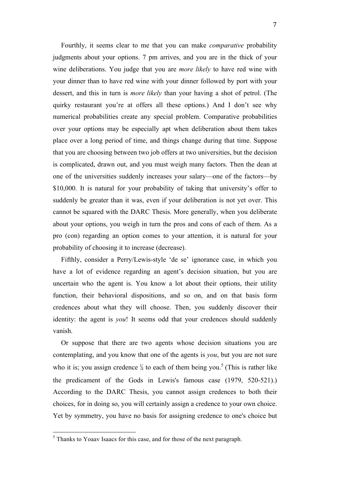Fourthly, it seems clear to me that you can make *comparative* probability judgments about your options. 7 pm arrives, and you are in the thick of your wine deliberations. You judge that you are *more likely* to have red wine with your dinner than to have red wine with your dinner followed by port with your dessert, and this in turn is *more likely* than your having a shot of petrol. (The quirky restaurant you're at offers all these options.) And I don't see why numerical probabilities create any special problem. Comparative probabilities over your options may be especially apt when deliberation about them takes place over a long period of time, and things change during that time. Suppose that you are choosing between two job offers at two universities, but the decision is complicated, drawn out, and you must weigh many factors. Then the dean at one of the universities suddenly increases your salary—one of the factors—by \$10,000. It is natural for your probability of taking that university's offer to suddenly be greater than it was, even if your deliberation is not yet over. This cannot be squared with the DARC Thesis. More generally, when you deliberate about your options, you weigh in turn the pros and cons of each of them. As a pro (con) regarding an option comes to your attention, it is natural for your probability of choosing it to increase (decrease).

Fifthly, consider a Perry/Lewis-style 'de se' ignorance case, in which you have a lot of evidence regarding an agent's decision situation, but you are uncertain who the agent is. You know a lot about their options, their utility function, their behavioral dispositions, and so on, and on that basis form credences about what they will choose. Then, you suddenly discover their identity: the agent is *you*! It seems odd that your credences should suddenly vanish.

Or suppose that there are two agents whose decision situations you are contemplating, and you know that one of the agents is *you*, but you are not sure who it is; you assign credence  $\frac{1}{2}$  to each of them being you.<sup>5</sup> (This is rather like the predicament of the Gods in Lewis's famous case (1979, 520-521).) According to the DARC Thesis, you cannot assign credences to both their choices, for in doing so, you will certainly assign a credence to your own choice. Yet by symmetry, you have no basis for assigning credence to one's choice but

<sup>&</sup>lt;sup>5</sup> Thanks to Yoaav Isaacs for this case, and for those of the next paragraph.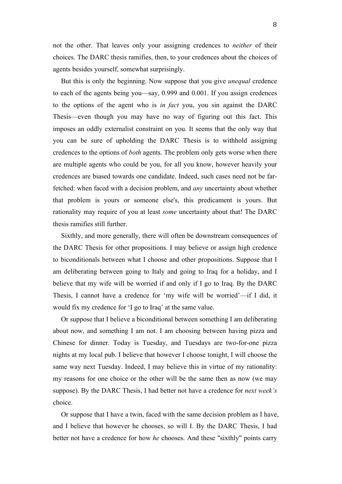not the other. That leaves only your assigning credences to *neither* of their choices. The DARC thesis ramifies, then, to your credences about the choices of agents besides yourself, somewhat surprisingly.

But this is only the beginning. Now suppose that you give *unequal* credence to each of the agents being you—say, 0.999 and 0.001. If you assign credences to the options of the agent who is *in fact* you, you sin against the DARC Thesis—even though you may have no way of figuring out this fact. This imposes an oddly externalist constraint on you. It seems that the only way that you can be sure of upholding the DARC Thesis is to withhold assigning credences to the options of *both* agents. The problem only gets worse when there are multiple agents who could be you, for all you know, however heavily your credences are biased towards one candidate. Indeed, such cases need not be farfetched: when faced with a decision problem, and *any* uncertainty about whether that problem is yours or someone else's, this predicament is yours. But rationality may require of you at least *some* uncertainty about that! The DARC thesis ramifies still further.

Sixthly, and more generally, there will often be downstream consequences of the DARC Thesis for other propositions. I may believe or assign high credence to biconditionals between what I choose and other propositions. Suppose that I am deliberating between going to Italy and going to Iraq for a holiday, and I believe that my wife will be worried if and only if I go to Iraq. By the DARC Thesis, I cannot have a credence for 'my wife will be worried'—if I did, it would fix my credence for 'I go to Iraq' at the same value.

Or suppose that I believe a biconditional between something I am deliberating about now, and something I am not. I am choosing between having pizza and Chinese for dinner. Today is Tuesday, and Tuesdays are two-for-one pizza nights at my local pub. I believe that however I choose tonight, I will choose the same way next Tuesday. Indeed, I may believe this in virtue of my rationality: my reasons for one choice or the other will be the same then as now (we may suppose). By the DARC Thesis, I had better not have a credence for *next week's* choice.

Or suppose that I have a twin, faced with the same decision problem as I have, and I believe that however he chooses, so will I. By the DARC Thesis, I had better not have a credence for how *he* chooses. And these "sixthly" points carry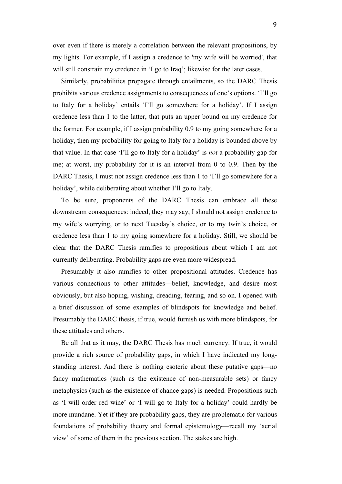over even if there is merely a correlation between the relevant propositions, by my lights. For example, if I assign a credence to 'my wife will be worried', that will still constrain my credence in 'I go to Iraq'; likewise for the later cases.

Similarly, probabilities propagate through entailments, so the DARC Thesis prohibits various credence assignments to consequences of one's options. 'I'll go to Italy for a holiday' entails 'I'll go somewhere for a holiday'. If I assign credence less than 1 to the latter, that puts an upper bound on my credence for the former. For example, if I assign probability 0.9 to my going somewhere for a holiday, then my probability for going to Italy for a holiday is bounded above by that value. In that case 'I'll go to Italy for a holiday' is *not* a probability gap for me; at worst, my probability for it is an interval from 0 to 0.9. Then by the DARC Thesis, I must not assign credence less than 1 to 'I'll go somewhere for a holiday', while deliberating about whether I'll go to Italy.

To be sure, proponents of the DARC Thesis can embrace all these downstream consequences: indeed, they may say, I should not assign credence to my wife's worrying, or to next Tuesday's choice, or to my twin's choice, or credence less than 1 to my going somewhere for a holiday. Still, we should be clear that the DARC Thesis ramifies to propositions about which I am not currently deliberating. Probability gaps are even more widespread.

Presumably it also ramifies to other propositional attitudes. Credence has various connections to other attitudes—belief, knowledge, and desire most obviously, but also hoping, wishing, dreading, fearing, and so on. I opened with a brief discussion of some examples of blindspots for knowledge and belief. Presumably the DARC thesis, if true, would furnish us with more blindspots, for these attitudes and others.

Be all that as it may, the DARC Thesis has much currency. If true, it would provide a rich source of probability gaps, in which I have indicated my longstanding interest. And there is nothing esoteric about these putative gaps—no fancy mathematics (such as the existence of non-measurable sets) or fancy metaphysics (such as the existence of chance gaps) is needed. Propositions such as 'I will order red wine' or 'I will go to Italy for a holiday' could hardly be more mundane. Yet if they are probability gaps, they are problematic for various foundations of probability theory and formal epistemology—recall my 'aerial view' of some of them in the previous section. The stakes are high.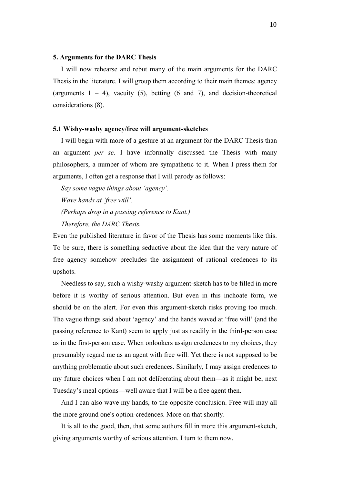## **5. Arguments for the DARC Thesis**

I will now rehearse and rebut many of the main arguments for the DARC Thesis in the literature. I will group them according to their main themes: agency (arguments  $1 - 4$ ), vacuity (5), betting (6 and 7), and decision-theoretical considerations (8).

#### **5.1 Wishy-washy agency/free will argument-sketches**

I will begin with more of a gesture at an argument for the DARC Thesis than an argument *per se*. I have informally discussed the Thesis with many philosophers, a number of whom are sympathetic to it. When I press them for arguments, I often get a response that I will parody as follows:

*Say some vague things about 'agency'.* 

*Wave hands at 'free will'. (Perhaps drop in a passing reference to Kant.) Therefore, the DARC Thesis.*

Even the published literature in favor of the Thesis has some moments like this. To be sure, there is something seductive about the idea that the very nature of free agency somehow precludes the assignment of rational credences to its upshots.

Needless to say, such a wishy-washy argument-sketch has to be filled in more before it is worthy of serious attention. But even in this inchoate form, we should be on the alert. For even this argument-sketch risks proving too much. The vague things said about 'agency' and the hands waved at 'free will' (and the passing reference to Kant) seem to apply just as readily in the third-person case as in the first-person case. When onlookers assign credences to my choices, they presumably regard me as an agent with free will. Yet there is not supposed to be anything problematic about such credences. Similarly, I may assign credences to my future choices when I am not deliberating about them—as it might be, next Tuesday's meal options—well aware that I will be a free agent then.

And I can also wave my hands, to the opposite conclusion. Free will may all the more ground one's option-credences. More on that shortly.

It is all to the good, then, that some authors fill in more this argument-sketch, giving arguments worthy of serious attention. I turn to them now.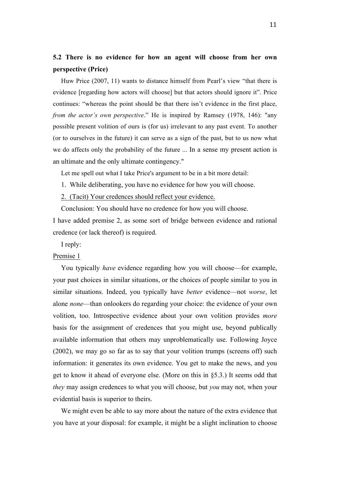## **5.2 There is no evidence for how an agent will choose from her own perspective (Price)**

Huw Price (2007, 11) wants to distance himself from Pearl's view "that there is evidence [regarding how actors will choose] but that actors should ignore it". Price continues: "whereas the point should be that there isn't evidence in the first place, *from the actor's own perspective*." He is inspired by Ramsey (1978, 146): "any possible present volition of ours is (for us) irrelevant to any past event. To another (or to ourselves in the future) it can serve as a sign of the past, but to us now what we do affects only the probability of the future ... In a sense my present action is an ultimate and the only ultimate contingency."

Let me spell out what I take Price's argument to be in a bit more detail:

1. While deliberating, you have no evidence for how you will choose.

2. (Tacit) Your credences should reflect your evidence.

Conclusion: You should have no credence for how you will choose.

I have added premise 2, as some sort of bridge between evidence and rational credence (or lack thereof) is required.

I reply:

## Premise 1

You typically *have* evidence regarding how you will choose—for example, your past choices in similar situations, or the choices of people similar to you in similar situations. Indeed, you typically have *better* evidence—not *worse*, let alone *none*—than onlookers do regarding your choice: the evidence of your own volition, too. Introspective evidence about your own volition provides *more* basis for the assignment of credences that you might use, beyond publically available information that others may unproblematically use. Following Joyce (2002), we may go so far as to say that your volition trumps (screens off) such information: it generates its own evidence. You get to make the news, and you get to know it ahead of everyone else. (More on this in §5.3.) It seems odd that *they* may assign credences to what you will choose, but *you* may not, when your evidential basis is superior to theirs.

We might even be able to say more about the nature of the extra evidence that you have at your disposal: for example, it might be a slight inclination to choose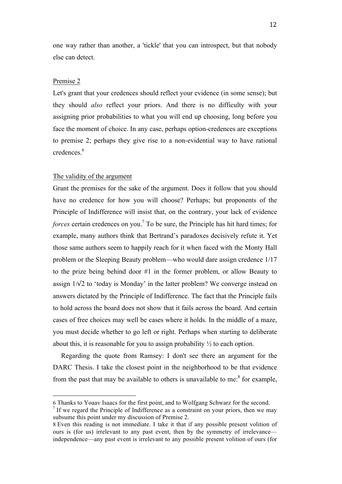one way rather than another, a 'tickle' that you can introspect, but that nobody else can detect.

#### Premise 2

Let's grant that your credences should reflect your evidence (in some sense); but they should *also* reflect your priors. And there is no difficulty with your assigning prior probabilities to what you will end up choosing, long before you face the moment of choice. In any case, perhaps option-credences are exceptions to premise 2; perhaps they give rise to a non-evidential way to have rational credences.<sup>6</sup>

## The validity of the argument

 

Grant the premises for the sake of the argument. Does it follow that you should have no credence for how you will choose? Perhaps; but proponents of the Principle of Indifference will insist that, on the contrary, your lack of evidence *forces* certain credences on you.<sup>7</sup> To be sure, the Principle has hit hard times; for example, many authors think that Bertrand's paradoxes decisively refute it. Yet those same authors seem to happily reach for it when faced with the Monty Hall problem or the Sleeping Beauty problem—who would dare assign credence 1/17 to the prize being behind door #1 in the former problem, or allow Beauty to assign  $1/\sqrt{2}$  to 'today is Monday' in the latter problem? We converge instead on answers dictated by the Principle of Indifference. The fact that the Principle fails to hold across the board does not show that it fails across the board. And certain cases of free choices may well be cases where it holds. In the middle of a maze, you must decide whether to go left or right. Perhaps when starting to deliberate about this, it is reasonable for you to assign probability  $\frac{1}{2}$  to each option.

Regarding the quote from Ramsey: I don't see there an argument for the DARC Thesis. I take the closest point in the neighborhood to be that evidence from the past that may be available to others is unavailable to me:<sup>8</sup> for example,

<sup>6</sup> Thanks to Yoaav Isaacs for the first point, and to Wolfgang Schwarz for the second.

 $7$  If we regard the Principle of Indifference as a constraint on your priors, then we may subsume this point under my discussion of Premise 2.

<sup>8</sup> Even this reading is not immediate. I take it that if any possible present volition of ours is (for us) irrelevant to any past event, then by the symmetry of irrelevance independence—any past event is irrelevant to any possible present volition of ours (for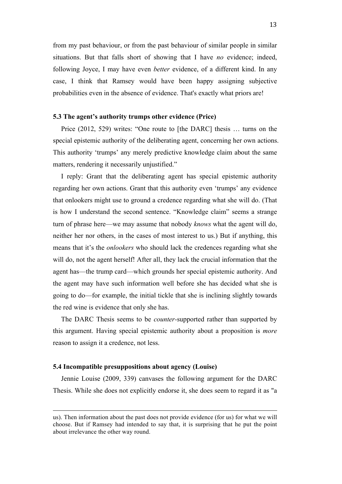from my past behaviour, or from the past behaviour of similar people in similar situations. But that falls short of showing that I have *no* evidence; indeed, following Joyce, I may have even *better* evidence, of a different kind. In any case, I think that Ramsey would have been happy assigning subjective probabilities even in the absence of evidence. That's exactly what priors are!

## **5.3 The agent's authority trumps other evidence (Price)**

Price (2012, 529) writes: "One route to [the DARC] thesis … turns on the special epistemic authority of the deliberating agent, concerning her own actions. This authority 'trumps' any merely predictive knowledge claim about the same matters, rendering it necessarily unjustified."

I reply: Grant that the deliberating agent has special epistemic authority regarding her own actions. Grant that this authority even 'trumps' any evidence that onlookers might use to ground a credence regarding what she will do. (That is how I understand the second sentence. "Knowledge claim" seems a strange turn of phrase here—we may assume that nobody *knows* what the agent will do, neither her nor others, in the cases of most interest to us.) But if anything, this means that it's the *onlookers* who should lack the credences regarding what she will do, not the agent herself! After all, they lack the crucial information that the agent has—the trump card—which grounds her special epistemic authority. And the agent may have such information well before she has decided what she is going to do—for example, the initial tickle that she is inclining slightly towards the red wine is evidence that only she has.

The DARC Thesis seems to be *counter-*supported rather than supported by this argument. Having special epistemic authority about a proposition is *more* reason to assign it a credence, not less.

#### **5.4 Incompatible presuppositions about agency (Louise)**

Jennie Louise (2009, 339) canvases the following argument for the DARC Thesis. While she does not explicitly endorse it, she does seem to regard it as "a

<u> Alexandro de la contrada de la contrada de la contrada de la contrada de la contrada de la contrada de la co</u>

us). Then information about the past does not provide evidence (for us) for what we will choose. But if Ramsey had intended to say that, it is surprising that he put the point about irrelevance the other way round.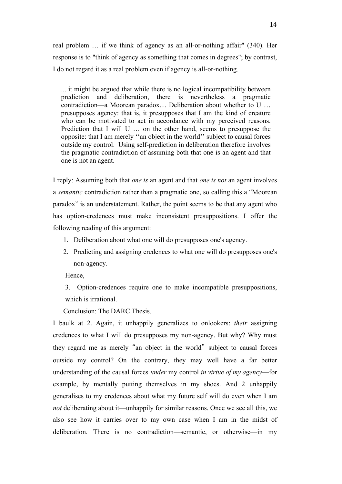real problem … if we think of agency as an all-or-nothing affair" (340). Her response is to "think of agency as something that comes in degrees"; by contrast, I do not regard it as a real problem even if agency is all-or-nothing.

... it might be argued that while there is no logical incompatibility between prediction and deliberation, there is nevertheless a pragmatic contradiction—a Moorean paradox… Deliberation about whether to U … presupposes agency: that is, it presupposes that I am the kind of creature who can be motivated to act in accordance with my perceived reasons. Prediction that I will U ... on the other hand, seems to presuppose the opposite: that I am merely ''an object in the world'' subject to causal forces outside my control. Using self-prediction in deliberation therefore involves the pragmatic contradiction of assuming both that one is an agent and that one is not an agent.

I reply: Assuming both that *one is* an agent and that *one is not* an agent involves a *semantic* contradiction rather than a pragmatic one, so calling this a "Moorean paradox" is an understatement. Rather, the point seems to be that any agent who has option-credences must make inconsistent presuppositions. I offer the following reading of this argument:

- 1. Deliberation about what one will do presupposes one's agency.
- 2. Predicting and assigning credences to what one will do presupposes one's non-agency.

Hence,

3. Option-credences require one to make incompatible presuppositions, which is irrational.

Conclusion: The DARC Thesis.

I baulk at 2. Again, it unhappily generalizes to onlookers: *their* assigning credences to what I will do presupposes my non-agency. But why? Why must they regard me as merely "an object in the world" subject to causal forces outside my control? On the contrary, they may well have a far better understanding of the causal forces *under* my control *in virtue of my agency*—for example, by mentally putting themselves in my shoes. And 2 unhappily generalises to my credences about what my future self will do even when I am *not* deliberating about it—unhappily for similar reasons. Once we see all this, we also see how it carries over to my own case when I am in the midst of deliberation. There is no contradiction—semantic, or otherwise—in my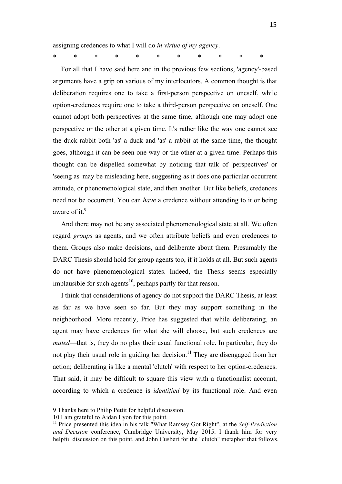assigning credences to what I will do *in virtue of my agency*.

\* \* \* \* \* \* \* \* \* \* \*

For all that I have said here and in the previous few sections, 'agency'-based arguments have a grip on various of my interlocutors. A common thought is that deliberation requires one to take a first-person perspective on oneself, while option-credences require one to take a third-person perspective on oneself. One cannot adopt both perspectives at the same time, although one may adopt one perspective or the other at a given time. It's rather like the way one cannot see the duck-rabbit both 'as' a duck and 'as' a rabbit at the same time, the thought goes, although it can be seen one way or the other at a given time. Perhaps this thought can be dispelled somewhat by noticing that talk of 'perspectives' or 'seeing as' may be misleading here, suggesting as it does one particular occurrent attitude, or phenomenological state, and then another. But like beliefs, credences need not be occurrent. You can *have* a credence without attending to it or being aware of it.<sup>9</sup>

And there may not be any associated phenomenological state at all. We often regard *groups* as agents, and we often attribute beliefs and even credences to them. Groups also make decisions, and deliberate about them. Presumably the DARC Thesis should hold for group agents too, if it holds at all. But such agents do not have phenomenological states. Indeed, the Thesis seems especially implausible for such agents<sup>10</sup>, perhaps partly for that reason.

I think that considerations of agency do not support the DARC Thesis, at least as far as we have seen so far. But they may support something in the neighborhood. More recently, Price has suggested that while deliberating, an agent may have credences for what she will choose, but such credences are *muted*—that is, they do no play their usual functional role. In particular, they do not play their usual role in guiding her decision.<sup>11</sup> They are disengaged from her action; deliberating is like a mental 'clutch' with respect to her option-credences. That said, it may be difficult to square this view with a functionalist account, according to which a credence is *identified* by its functional role. And even

<sup>9</sup> Thanks here to Philip Pettit for helpful discussion.

<sup>10</sup> I am grateful to Aidan Lyon for this point.

<sup>11</sup> Price presented this idea in his talk "What Ramsey Got Right", at the *Self-Prediction and Decision* conference, Cambridge University, May 2015. I thank him for very helpful discussion on this point, and John Cusbert for the "clutch" metaphor that follows.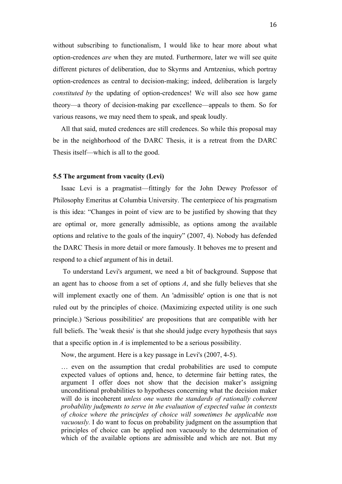without subscribing to functionalism, I would like to hear more about what option-credences *are* when they are muted. Furthermore, later we will see quite different pictures of deliberation, due to Skyrms and Arntzenius, which portray option-credences as central to decision-making; indeed, deliberation is largely *constituted by* the updating of option-credences! We will also see how game theory—a theory of decision-making par excellence—appeals to them. So for various reasons, we may need them to speak, and speak loudly.

All that said, muted credences are still credences. So while this proposal may be in the neighborhood of the DARC Thesis, it is a retreat from the DARC Thesis itself—which is all to the good.

#### **5.5 The argument from vacuity (Levi)**

Isaac Levi is a pragmatist—fittingly for the John Dewey Professor of Philosophy Emeritus at Columbia University. The centerpiece of his pragmatism is this idea: "Changes in point of view are to be justified by showing that they are optimal or, more generally admissible, as options among the available options and relative to the goals of the inquiry" (2007, 4). Nobody has defended the DARC Thesis in more detail or more famously. It behoves me to present and respond to a chief argument of his in detail.

To understand Levi's argument, we need a bit of background. Suppose that an agent has to choose from a set of options *A*, and she fully believes that she will implement exactly one of them. An 'admissible' option is one that is not ruled out by the principles of choice. (Maximizing expected utility is one such principle.) 'Serious possibilities' are propositions that are compatible with her full beliefs. The 'weak thesis' is that she should judge every hypothesis that says that a specific option in *A* is implemented to be a serious possibility.

Now, the argument. Here is a key passage in Levi's (2007, 4-5).

… even on the assumption that credal probabilities are used to compute expected values of options and, hence, to determine fair betting rates, the argument I offer does not show that the decision maker's assigning unconditional probabilities to hypotheses concerning what the decision maker will do is incoherent *unless one wants the standards of rationally coherent probability judgments to serve in the evaluation of expected value in contexts of choice where the principles of choice will sometimes be applicable non vacuously.* I do want to focus on probability judgment on the assumption that principles of choice can be applied non vacuously to the determination of which of the available options are admissible and which are not. But my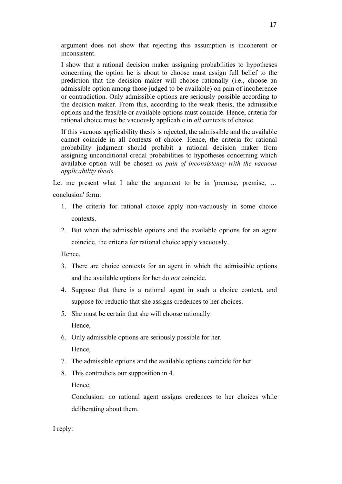argument does not show that rejecting this assumption is incoherent or inconsistent.

I show that a rational decision maker assigning probabilities to hypotheses concerning the option he is about to choose must assign full belief to the prediction that the decision maker will choose rationally (i.e., choose an admissible option among those judged to be available) on pain of incoherence or contradiction. Only admissible options are seriously possible according to the decision maker. From this, according to the weak thesis, the admissible options and the feasible or available options must coincide. Hence, criteria for rational choice must be vacuously applicable in *all* contexts of choice.

If this vacuous applicability thesis is rejected, the admissible and the available cannot coincide in all contexts of choice. Hence, the criteria for rational probability judgment should prohibit a rational decision maker from assigning unconditional credal probabilities to hypotheses concerning which available option will be chosen *on pain of inconsistency with the vacuous applicability thesis*.

Let me present what I take the argument to be in 'premise, premise, ... conclusion' form:

- 1. The criteria for rational choice apply non-vacuously in some choice contexts.
- 2. But when the admissible options and the available options for an agent coincide, the criteria for rational choice apply vacuously.

Hence,

- 3. There are choice contexts for an agent in which the admissible options and the available options for her do *not* coincide.
- 4. Suppose that there is a rational agent in such a choice context, and suppose for reductio that she assigns credences to her choices.
- 5. She must be certain that she will choose rationally. Hence,
- 6. Only admissible options are seriously possible for her. Hence,
- 7. The admissible options and the available options coincide for her.
- 8. This contradicts our supposition in 4. Hence,

Conclusion: no rational agent assigns credences to her choices while deliberating about them.

I reply: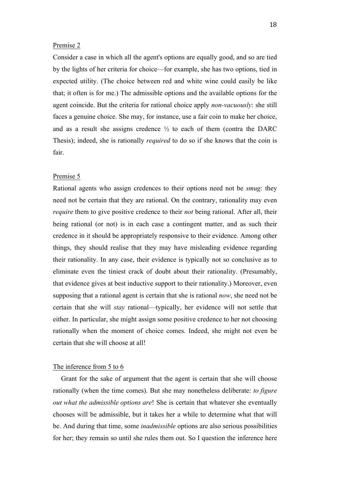## Premise 2

Consider a case in which all the agent's options are equally good, and so are tied by the lights of her criteria for choice—for example, she has two options, tied in expected utility. (The choice between red and white wine could easily be like that; it often is for me.) The admissible options and the available options for the agent coincide. But the criteria for rational choice apply *non-vacuously*: she still faces a genuine choice. She may, for instance, use a fair coin to make her choice, and as a result she assigns credence  $\frac{1}{2}$  to each of them (contra the DARC Thesis); indeed, she is rationally *required* to do so if she knows that the coin is fair.

#### Premise 5

Rational agents who assign credences to their options need not be *smug*: they need not be certain that they are rational. On the contrary, rationality may even *require* them to give positive credence to their *not* being rational. After all, their being rational (or not) is in each case a contingent matter, and as such their credence in it should be appropriately responsive to their evidence. Among other things, they should realise that they may have misleading evidence regarding their rationality. In any case, their evidence is typically not so conclusive as to eliminate even the tiniest crack of doubt about their rationality. (Presumably, that evidence gives at best inductive support to their rationality.) Moreover, even supposing that a rational agent is certain that she is rational *now*, she need not be certain that she will *stay* rational—typically, her evidence will not settle that either. In particular, she might assign some positive credence to her not choosing rationally when the moment of choice comes. Indeed, she might not even be certain that she will choose at all!

## The inference from 5 to 6

Grant for the sake of argument that the agent is certain that she will choose rationally (when the time comes). But she may nonetheless deliberate: *to figure out what the admissible options are*! She is certain that whatever she eventually chooses will be admissible, but it takes her a while to determine what that will be. And during that time, some *inadmissible* options are also serious possibilities for her; they remain so until she rules them out. So I question the inference here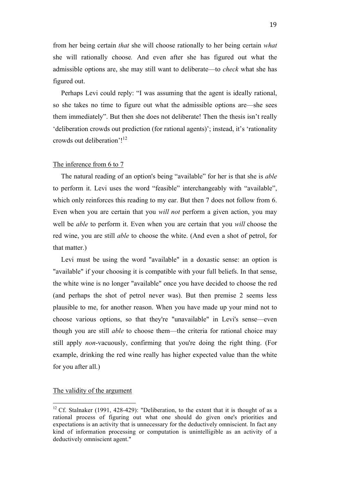from her being certain *that* she will choose rationally to her being certain *what*  she will rationally choose*.* And even after she has figured out what the admissible options are, she may still want to deliberate—to *check* what she has figured out.

Perhaps Levi could reply: "I was assuming that the agent is ideally rational, so she takes no time to figure out what the admissible options are—she sees them immediately". But then she does not deliberate! Then the thesis isn't really 'deliberation crowds out prediction (for rational agents)'; instead, it's 'rationality crowds out deliberation'!<sup>12</sup>

## The inference from 6 to 7

The natural reading of an option's being "available" for her is that she is *able* to perform it. Levi uses the word "feasible" interchangeably with "available", which only reinforces this reading to my ear. But then 7 does not follow from 6. Even when you are certain that you *will not* perform a given action, you may well be *able* to perform it. Even when you are certain that you *will* choose the red wine, you are still *able* to choose the white. (And even a shot of petrol, for that matter.)

Levi must be using the word "available" in a doxastic sense: an option is "available" if your choosing it is compatible with your full beliefs. In that sense, the white wine is no longer "available" once you have decided to choose the red (and perhaps the shot of petrol never was). But then premise 2 seems less plausible to me, for another reason. When you have made up your mind not to choose various options, so that they're "unavailable" in Levi's sense—even though you are still *able* to choose them—the criteria for rational choice may still apply *non*-vacuously, confirming that you're doing the right thing. (For example, drinking the red wine really has higher expected value than the white for you after all.)

#### The validity of the argument

<sup>&</sup>lt;sup>12</sup> Cf. Stalnaker (1991, 428-429): "Deliberation, to the extent that it is thought of as a rational process of figuring out what one should do given one's priorities and expectations is an activity that is unnecessary for the deductively omniscient. In fact any kind of information processing or computation is unintelligible as an activity of a deductively omniscient agent."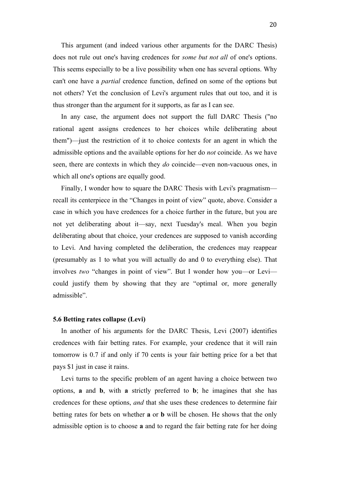This argument (and indeed various other arguments for the DARC Thesis) does not rule out one's having credences for *some but not all* of one's options. This seems especially to be a live possibility when one has several options. Why can't one have a *partial* credence function, defined on some of the options but not others? Yet the conclusion of Levi's argument rules that out too, and it is thus stronger than the argument for it supports, as far as I can see.

In any case, the argument does not support the full DARC Thesis ("no rational agent assigns credences to her choices while deliberating about them")—just the restriction of it to choice contexts for an agent in which the admissible options and the available options for her do *not* coincide. As we have seen, there are contexts in which they *do* coincide—even non-vacuous ones, in which all one's options are equally good.

Finally, I wonder how to square the DARC Thesis with Levi's pragmatism recall its centerpiece in the "Changes in point of view" quote, above. Consider a case in which you have credences for a choice further in the future, but you are not yet deliberating about it—say, next Tuesday's meal. When you begin deliberating about that choice, your credences are supposed to vanish according to Levi. And having completed the deliberation, the credences may reappear (presumably as 1 to what you will actually do and 0 to everything else). That involves *two* "changes in point of view". But I wonder how you—or Levi could justify them by showing that they are "optimal or, more generally admissible".

#### **5.6 Betting rates collapse (Levi)**

In another of his arguments for the DARC Thesis, Levi (2007) identifies credences with fair betting rates. For example, your credence that it will rain tomorrow is 0.7 if and only if 70 cents is your fair betting price for a bet that pays \$1 just in case it rains.

Levi turns to the specific problem of an agent having a choice between two options, **a** and **b**, with **a** strictly preferred to **b**; he imagines that she has credences for these options, *and* that she uses these credences to determine fair betting rates for bets on whether **a** or **b** will be chosen. He shows that the only admissible option is to choose **a** and to regard the fair betting rate for her doing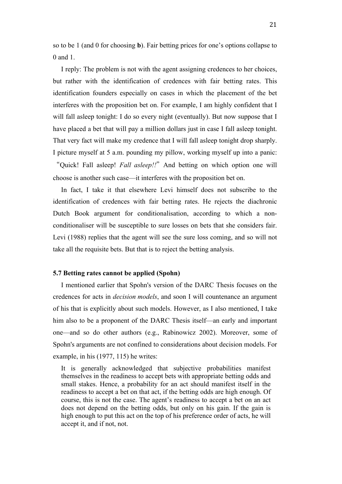so to be 1 (and 0 for choosing **b**). Fair betting prices for one's options collapse to  $0$  and  $1$ .

I reply: The problem is not with the agent assigning credences to her choices, but rather with the identification of credences with fair betting rates. This identification founders especially on cases in which the placement of the bet interferes with the proposition bet on. For example, I am highly confident that I will fall asleep tonight: I do so every night (eventually). But now suppose that I have placed a bet that will pay a million dollars just in case I fall asleep tonight. That very fact will make my credence that I will fall asleep tonight drop sharply. I picture myself at 5 a.m. pounding my pillow, working myself up into a panic:

"Quick! Fall asleep! *Fall asleep!!*" And betting on which option one will choose is another such case—it interferes with the proposition bet on.

In fact, I take it that elsewhere Levi himself does not subscribe to the identification of credences with fair betting rates. He rejects the diachronic Dutch Book argument for conditionalisation, according to which a nonconditionaliser will be susceptible to sure losses on bets that she considers fair. Levi (1988) replies that the agent will see the sure loss coming, and so will not take all the requisite bets. But that is to reject the betting analysis.

## **5.7 Betting rates cannot be applied (Spohn)**

I mentioned earlier that Spohn's version of the DARC Thesis focuses on the credences for acts in *decision models*, and soon I will countenance an argument of his that is explicitly about such models. However, as I also mentioned, I take him also to be a proponent of the DARC Thesis itself—an early and important one—and so do other authors (e.g., Rabinowicz 2002). Moreover, some of Spohn's arguments are not confined to considerations about decision models. For example, in his (1977, 115) he writes:

It is generally acknowledged that subjective probabilities manifest themselves in the readiness to accept bets with appropriate betting odds and small stakes. Hence, a probability for an act should manifest itself in the readiness to accept a bet on that act, if the betting odds are high enough. Of course, this is not the case. The agent's readiness to accept a bet on an act does not depend on the betting odds, but only on his gain. If the gain is high enough to put this act on the top of his preference order of acts, he will accept it, and if not, not.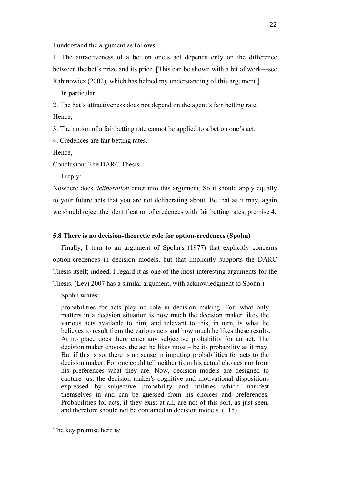I understand the argument as follows:

1. The attractiveness of a bet on one's act depends only on the difference between the bet's prize and its price. [This can be shown with a bit of work—see Rabinowicz (2002), which has helped my understanding of this argument.]

In particular,

2. The bet's attractiveness does not depend on the agent's fair betting rate. Hence,

3. The notion of a fair betting rate cannot be applied to a bet on one's act.

4. Credences are fair betting rates.

Hence,

Conclusion: The DARC Thesis.

I reply:

Nowhere does *deliberation* enter into this argument. So it should apply equally to your future acts that you are not deliberating about. Be that as it may, again we should reject the identification of credences with fair betting rates, premise 4.

## **5.8 There is no decision-theoretic role for option-credences (Spohn)**

Finally, I turn to an argument of Spohn's (1977) that explicitly concerns option-credences in decision models, but that implicitly supports the DARC Thesis itself; indeed, I regard it as one of the most interesting arguments for the Thesis. (Levi 2007 has a similar argument, with acknowledgment to Spohn.)

Spohn writes:

probabilities for acts play no role in decision making. For, what only matters in a decision situation is how much the decision maker likes the various acts available to him, and relevant to this, in turn, is what he believes to result from the various acts and how much he likes these results. At no place does there enter any subjective probability for an act. The decision maker chooses the act he likes most – be its probability as it may. But if this is so, there is no sense in imputing probabilities for acts to the decision maker. For one could tell neither from his actual choices nor from his preferences what they are. Now, decision models are designed to capture just the decision maker's cognitive and motivational dispositions expressed by subjective probability and utilities which manifest themselves in and can be guessed from his choices and preferences. Probabilities for acts, if they exist at all, are not of this sort, as just seen, and therefore should not be contained in decision models. (115).

The key premise here is: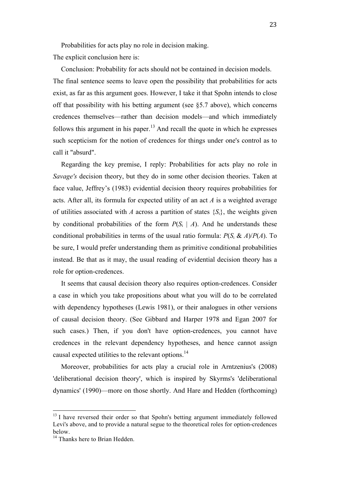Probabilities for acts play no role in decision making.

The explicit conclusion here is:

Conclusion: Probability for acts should not be contained in decision models. The final sentence seems to leave open the possibility that probabilities for acts exist, as far as this argument goes. However, I take it that Spohn intends to close off that possibility with his betting argument (see §5.7 above), which concerns credences themselves—rather than decision models—and which immediately follows this argument in his paper.<sup>13</sup> And recall the quote in which he expresses such scepticism for the notion of credences for things under one's control as to call it "absurd".

Regarding the key premise, I reply: Probabilities for acts play no role in *Savage's* decision theory, but they do in some other decision theories. Taken at face value, Jeffrey's (1983) evidential decision theory requires probabilities for acts. After all, its formula for expected utility of an act *A* is a weighted average of utilities associated with *A* across a partition of states {*S*i}, the weights given by conditional probabilities of the form  $P(S_i | A)$ . And he understands these conditional probabilities in terms of the usual ratio formula:  $P(S_i \& A)/P(A)$ . To be sure, I would prefer understanding them as primitive conditional probabilities instead. Be that as it may, the usual reading of evidential decision theory has a role for option-credences.

It seems that causal decision theory also requires option-credences. Consider a case in which you take propositions about what you will do to be correlated with dependency hypotheses (Lewis 1981), or their analogues in other versions of causal decision theory. (See Gibbard and Harper 1978 and Egan 2007 for such cases.) Then, if you don't have option-credences, you cannot have credences in the relevant dependency hypotheses, and hence cannot assign causal expected utilities to the relevant options.<sup>14</sup>

Moreover, probabilities for acts play a crucial role in Arntzenius's (2008) 'deliberational decision theory', which is inspired by Skyrms's 'deliberational dynamics' (1990)—more on those shortly. And Hare and Hedden (forthcoming)

<sup>&</sup>lt;sup>13</sup> I have reversed their order so that Spohn's betting argument immediately followed Levi's above, and to provide a natural segue to the theoretical roles for option-credences below.

<sup>&</sup>lt;sup>14</sup> Thanks here to Brian Hedden.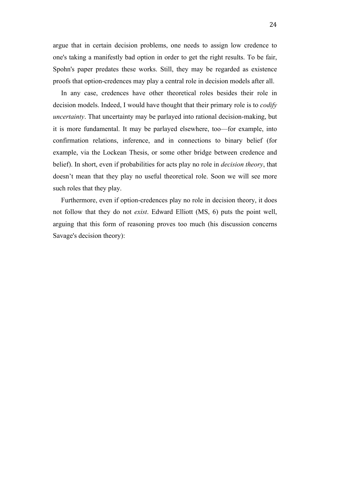argue that in certain decision problems, one needs to assign low credence to one's taking a manifestly bad option in order to get the right results. To be fair, Spohn's paper predates these works. Still, they may be regarded as existence proofs that option-credences may play a central role in decision models after all.

In any case, credences have other theoretical roles besides their role in decision models. Indeed, I would have thought that their primary role is to *codify uncertainty*. That uncertainty may be parlayed into rational decision-making, but it is more fundamental. It may be parlayed elsewhere, too—for example, into confirmation relations, inference, and in connections to binary belief (for example, via the Lockean Thesis, or some other bridge between credence and belief). In short, even if probabilities for acts play no role in *decision theory*, that doesn't mean that they play no useful theoretical role. Soon we will see more such roles that they play.

Furthermore, even if option-credences play no role in decision theory, it does not follow that they do not *exist*. Edward Elliott (MS, 6) puts the point well, arguing that this form of reasoning proves too much (his discussion concerns Savage's decision theory):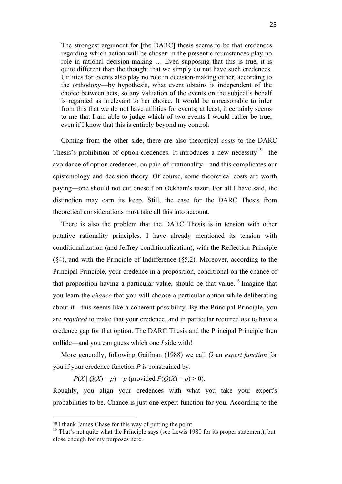The strongest argument for [the DARC] thesis seems to be that credences regarding which action will be chosen in the present circumstances play no role in rational decision-making … Even supposing that this is true, it is quite different than the thought that we simply do not have such credences. Utilities for events also play no role in decision-making either, according to the orthodoxy—by hypothesis, what event obtains is independent of the choice between acts, so any valuation of the events on the subject's behalf is regarded as irrelevant to her choice. It would be unreasonable to infer from this that we do not have utilities for events; at least, it certainly seems to me that I am able to judge which of two events I would rather be true, even if I know that this is entirely beyond my control.

Coming from the other side, there are also theoretical *costs* to the DARC Thesis's prohibition of option-credences. It introduces a new necessity<sup>15</sup>—the avoidance of option credences, on pain of irrationality—and this complicates our epistemology and decision theory. Of course, some theoretical costs are worth paying—one should not cut oneself on Ockham's razor. For all I have said, the distinction may earn its keep. Still, the case for the DARC Thesis from theoretical considerations must take all this into account.

There is also the problem that the DARC Thesis is in tension with other putative rationality principles. I have already mentioned its tension with conditionalization (and Jeffrey conditionalization), with the Reflection Principle (§4), and with the Principle of Indifference (§5.2). Moreover, according to the Principal Principle, your credence in a proposition, conditional on the chance of that proposition having a particular value, should be that value.<sup>16</sup> Imagine that you learn the *chance* that you will choose a particular option while deliberating about it—this seems like a coherent possibility. By the Principal Principle, you are *required* to make that your credence, and in particular required *not* to have a credence gap for that option. The DARC Thesis and the Principal Principle then collide—and you can guess which one *I* side with!

More generally, following Gaifman (1988) we call *Q* an *expert function* for you if your credence function *P* is constrained by:

*P*(*X* | *Q*(*X*) = *p*) = *p* (provided *P*(*Q*(*X*) = *p*) > 0).

Roughly, you align your credences with what you take your expert's probabilities to be. Chance is just one expert function for you. According to the

<sup>15</sup> I thank James Chase for this way of putting the point.

 $16$  That's not quite what the Principle says (see Lewis 1980 for its proper statement), but close enough for my purposes here.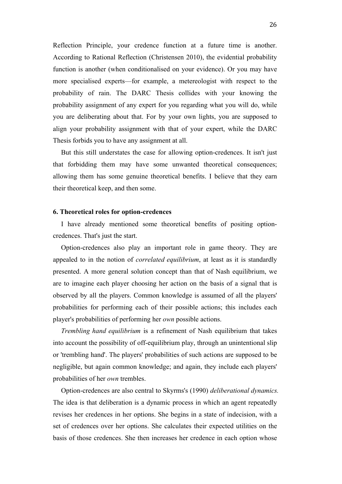Reflection Principle, your credence function at a future time is another. According to Rational Reflection (Christensen 2010), the evidential probability function is another (when conditionalised on your evidence). Or you may have more specialised experts—for example, a metereologist with respect to the probability of rain. The DARC Thesis collides with your knowing the probability assignment of any expert for you regarding what you will do, while you are deliberating about that. For by your own lights, you are supposed to align your probability assignment with that of your expert, while the DARC Thesis forbids you to have any assignment at all.

But this still understates the case for allowing option-credences. It isn't just that forbidding them may have some unwanted theoretical consequences; allowing them has some genuine theoretical benefits. I believe that they earn their theoretical keep, and then some.

#### **6. Theoretical roles for option-credences**

I have already mentioned some theoretical benefits of positing optioncredences. That's just the start.

Option-credences also play an important role in game theory. They are appealed to in the notion of *correlated equilibrium*, at least as it is standardly presented. A more general solution concept than that of Nash equilibrium, we are to imagine each player choosing her action on the basis of a signal that is observed by all the players. Common knowledge is assumed of all the players' probabilities for performing each of their possible actions; this includes each player's probabilities of performing her *own* possible actions.

*Trembling hand equilibrium* is a refinement of Nash equilibrium that takes into account the possibility of off-equilibrium play, through an unintentional slip or 'trembling hand'. The players' probabilities of such actions are supposed to be negligible, but again common knowledge; and again, they include each players' probabilities of her *own* trembles.

Option-credences are also central to Skyrms's (1990) *deliberational dynamics.*  The idea is that deliberation is a dynamic process in which an agent repeatedly revises her credences in her options. She begins in a state of indecision, with a set of credences over her options. She calculates their expected utilities on the basis of those credences. She then increases her credence in each option whose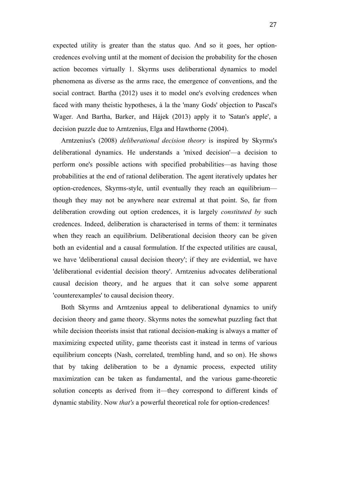expected utility is greater than the status quo. And so it goes, her optioncredences evolving until at the moment of decision the probability for the chosen action becomes virtually 1. Skyrms uses deliberational dynamics to model phenomena as diverse as the arms race, the emergence of conventions, and the social contract. Bartha (2012) uses it to model one's evolving credences when faced with many theistic hypotheses, à la the 'many Gods' objection to Pascal's Wager. And Bartha, Barker, and Hájek (2013) apply it to 'Satan's apple', a decision puzzle due to Arntzenius, Elga and Hawthorne (2004).

Arntzenius's (2008) *deliberational decision theory* is inspired by Skyrms's deliberational dynamics. He understands a 'mixed decision'—a decision to perform one's possible actions with specified probabilities—as having those probabilities at the end of rational deliberation. The agent iteratively updates her option-credences, Skyrms-style, until eventually they reach an equilibrium though they may not be anywhere near extremal at that point. So, far from deliberation crowding out option credences, it is largely *constituted by* such credences. Indeed, deliberation is characterised in terms of them: it terminates when they reach an equilibrium. Deliberational decision theory can be given both an evidential and a causal formulation. If the expected utilities are causal, we have 'deliberational causal decision theory'; if they are evidential, we have 'deliberational evidential decision theory'. Arntzenius advocates deliberational causal decision theory, and he argues that it can solve some apparent 'counterexamples' to causal decision theory.

Both Skyrms and Arntzenius appeal to deliberational dynamics to unify decision theory and game theory. Skyrms notes the somewhat puzzling fact that while decision theorists insist that rational decision-making is always a matter of maximizing expected utility, game theorists cast it instead in terms of various equilibrium concepts (Nash, correlated, trembling hand, and so on). He shows that by taking deliberation to be a dynamic process, expected utility maximization can be taken as fundamental, and the various game-theoretic solution concepts as derived from it—they correspond to different kinds of dynamic stability. Now *that's* a powerful theoretical role for option-credences!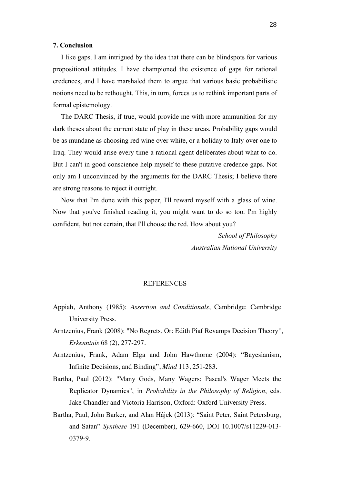#### **7. Conclusion**

I like gaps. I am intrigued by the idea that there can be blindspots for various propositional attitudes. I have championed the existence of gaps for rational credences, and I have marshaled them to argue that various basic probabilistic notions need to be rethought. This, in turn, forces us to rethink important parts of formal epistemology.

The DARC Thesis, if true, would provide me with more ammunition for my dark theses about the current state of play in these areas. Probability gaps would be as mundane as choosing red wine over white, or a holiday to Italy over one to Iraq. They would arise every time a rational agent deliberates about what to do. But I can't in good conscience help myself to these putative credence gaps. Not only am I unconvinced by the arguments for the DARC Thesis; I believe there are strong reasons to reject it outright.

Now that I'm done with this paper, I'll reward myself with a glass of wine. Now that you've finished reading it, you might want to do so too. I'm highly confident, but not certain, that I'll choose the red. How about you?

> *School of Philosophy Australian National University*

## **REFERENCES**

- Appiah, Anthony (1985): *Assertion and Conditionals*, Cambridge: Cambridge University Press.
- Arntzenius, Frank (2008): "No Regrets, Or: Edith Piaf Revamps Decision Theory", *Erkenntnis* 68 (2), 277-297.
- Arntzenius, Frank, Adam Elga and John Hawthorne (2004): "Bayesianism, Infinite Decisions, and Binding", *Mind* 113, 251-283.
- Bartha, Paul (2012): "Many Gods, Many Wagers: Pascal's Wager Meets the Replicator Dynamics", in *Probability in the Philosophy of Religion*, eds. Jake Chandler and Victoria Harrison, Oxford: Oxford University Press.
- Bartha, Paul, John Barker, and Alan Hájek (2013): "Saint Peter, Saint Petersburg, and Satan" *Synthese* 191 (December), 629-660, DOI 10.1007/s11229-013- 0379-9.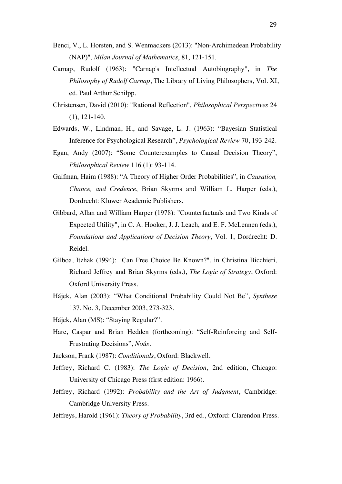- Benci, V., L. Horsten, and S. Wenmackers (2013): "Non-Archimedean Probability (NAP)", *Milan Journal of Mathematics*, 81, 121-151.
- Carnap, Rudolf (1963): "Carnap's Intellectual Autobiography", in *The Philosophy of Rudolf Carnap*, The Library of Living Philosophers, Vol. XI, ed. Paul Arthur Schilpp.
- Christensen, David (2010): "Rational Reflection", *Philosophical Perspectives* 24 (1), 121-140.
- Edwards, W., Lindman, H., and Savage, L. J. (1963): "Bayesian Statistical Inference for Psychological Research", *Psychological Review* 70, 193-242.
- Egan, Andy (2007): "Some Counterexamples to Causal Decision Theory", *Philosophical Review* 116 (1): 93-114.
- Gaifman, Haim (1988): "A Theory of Higher Order Probabilities", in *Causation, Chance, and Credence*, Brian Skyrms and William L. Harper (eds.), Dordrecht: Kluwer Academic Publishers.
- Gibbard, Allan and William Harper (1978): "Counterfactuals and Two Kinds of Expected Utility", in C. A. Hooker, J. J. Leach, and E. F. McLennen (eds.), *Foundations and Applications of Decision Theory*, Vol. 1, Dordrecht: D. Reidel.
- Gilboa, Itzhak (1994): "Can Free Choice Be Known?", in Christina Bicchieri, Richard Jeffrey and Brian Skyrms (eds.), *The Logic of Strategy*, Oxford: Oxford University Press.
- Hájek, Alan (2003): "What Conditional Probability Could Not Be", *Synthese* 137, No. 3, December 2003, 273-323.
- Hájek, Alan (MS): "Staying Regular?".
- Hare, Caspar and Brian Hedden (forthcoming): "Self-Reinforcing and Self-Frustrating Decisions", *Noûs*.
- Jackson, Frank (1987): *Conditionals*, Oxford: Blackwell.
- Jeffrey, Richard C. (1983): *The Logic of Decision*, 2nd edition, Chicago: University of Chicago Press (first edition: 1966).
- Jeffrey, Richard (1992): *Probability and the Art of Judgment*, Cambridge: Cambridge University Press.

Jeffreys, Harold (1961): *Theory of Probability*, 3rd ed., Oxford: Clarendon Press.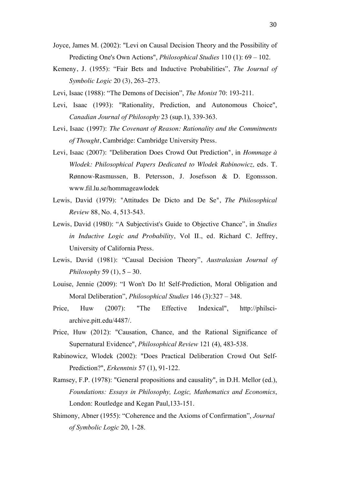- Joyce, James M. (2002): "Levi on Causal Decision Theory and the Possibility of Predicting One's Own Actions", *Philosophical Studies* 110 (1): 69 – 102.
- Kemeny, J. (1955): "Fair Bets and Inductive Probabilities", *The Journal of Symbolic Logic* 20 (3), 263–273.
- Levi, Isaac (1988): "The Demons of Decision", *The Monist* 70: 193-211.
- Levi, Isaac (1993): "Rationality, Prediction, and Autonomous Choice", *Canadian Journal of Philosophy* 23 (sup.1), 339-363.
- Levi, Isaac (1997): *The Covenant of Reason: Rationality and the Commitments of Thought*, Cambridge: Cambridge University Press.
- Levi, Isaac (2007): "Deliberation Does Crowd Out Prediction", in *Hommage à Wlodek: Philosophical Papers Dedicated to Wlodek Rabinowicz,* eds. T. Rønnow-Rasmussen, B. Petersson, J. Josefsson & D. Egonssson. www.fil.lu.se/hommageawlodek
- Lewis, David (1979): "Attitudes De Dicto and De Se", *The Philosophical Review* 88, No. 4, 513-543.
- Lewis, David (1980): "A Subjectivist's Guide to Objective Chance", in *Studies in Inductive Logic and Probability*, Vol II., ed. Richard C. Jeffrey, University of California Press.
- Lewis, David (1981): "Causal Decision Theory", *Australasian Journal of Philosophy* 59 (1), 5 – 30.
- Louise, Jennie (2009): "I Won't Do It! Self-Prediction, Moral Obligation and Moral Deliberation", *Philosophical Studies* 146 (3):327 – 348.
- Price, Huw (2007): "The Effective Indexical", http://philsciarchive.pitt.edu/4487/.
- Price, Huw (2012): "Causation, Chance, and the Rational Significance of Supernatural Evidence", *Philosophical Review* 121 (4), 483-538.
- Rabinowicz, Wlodek (2002): "Does Practical Deliberation Crowd Out Self-Prediction?", *Erkenntnis* 57 (1), 91-122.
- Ramsey, F.P. (1978): "General propositions and causality", in D.H. Mellor (ed.), *Foundations: Essays in Philosophy, Logic, Mathematics and Economics*, London: Routledge and Kegan Paul,133-151.
- Shimony, Abner (1955): "Coherence and the Axioms of Confirmation", *Journal of Symbolic Logic* 20, 1-28.